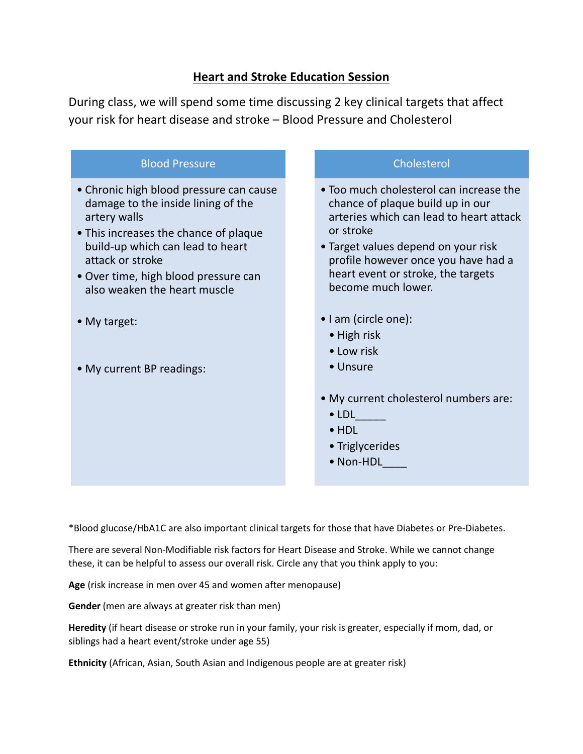## **Heart and Stroke Education Session**

During class, we will spend some time discussing 2 key clinical targets that affect your risk for heart disease and stroke – Blood Pressure and Cholesterol



• Non-HDL

\*Blood glucose/HbA1C are also important clinical targets for those that have Diabetes or Pre-Diabetes.

There are several Non-Modifiable risk factors for Heart Disease and Stroke. While we cannot change these, it can be helpful to assess our overall risk. Circle any that you think apply to you:

**Age** (risk increase in men over 45 and women after menopause)

**Gender** (men are always at greater risk than men)

**Heredity** (if heart disease or stroke run in your family, your risk is greater, especially if mom, dad, or siblings had a heart event/stroke under age 55)

**Ethnicity** (African, Asian, South Asian and Indigenous people are at greater risk)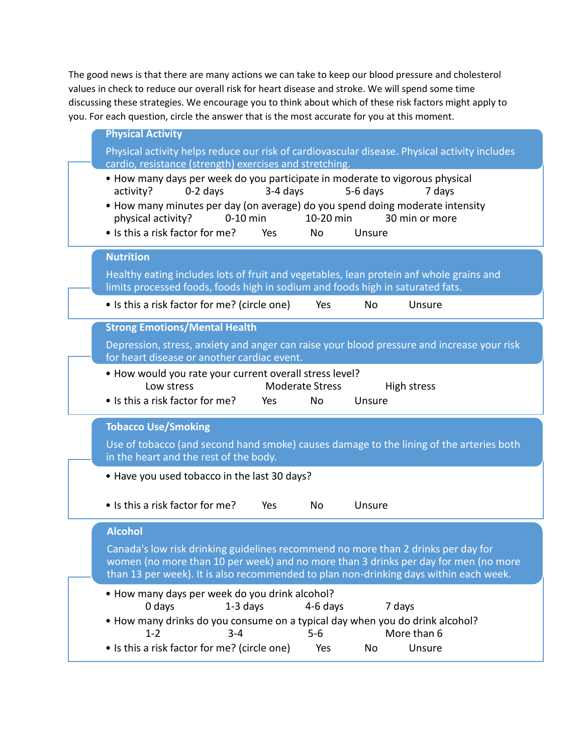The good news is that there are many actions we can take to keep our blood pressure and cholesterol values in check to reduce our overall risk for heart disease and stroke. We will spend some time discussing these strategies. We encourage you to think about which of these risk factors might apply to you. For each question, circle the answer that is the most accurate for you at this moment.

| <b>Physical Activity</b>                                                                                                                                                                                                                                                                                                                                |
|---------------------------------------------------------------------------------------------------------------------------------------------------------------------------------------------------------------------------------------------------------------------------------------------------------------------------------------------------------|
| Physical activity helps reduce our risk of cardiovascular disease. Physical activity includes                                                                                                                                                                                                                                                           |
| cardio, resistance (strength) exercises and stretching.                                                                                                                                                                                                                                                                                                 |
| • How many days per week do you participate in moderate to vigorous physical<br>3-4 days<br>5-6 days<br>activity?<br>$0-2$ days<br>7 days<br>• How many minutes per day (on average) do you spend doing moderate intensity<br>physical activity?<br>10-20 min<br>$0-10$ min<br>30 min or more<br>• Is this a risk factor for me?<br>Yes<br>No<br>Unsure |
| <b>Nutrition</b>                                                                                                                                                                                                                                                                                                                                        |
| Healthy eating includes lots of fruit and vegetables, lean protein anf whole grains and<br>limits processed foods, foods high in sodium and foods high in saturated fats.                                                                                                                                                                               |
| • Is this a risk factor for me? (circle one)<br>Yes<br><b>No</b><br>Unsure                                                                                                                                                                                                                                                                              |
| <b>Strong Emotions/Mental Health</b>                                                                                                                                                                                                                                                                                                                    |
| Depression, stress, anxiety and anger can raise your blood pressure and increase your risk<br>for heart disease or another cardiac event.                                                                                                                                                                                                               |
| . How would you rate your current overall stress level?<br>Low stress<br><b>Moderate Stress</b><br>High stress                                                                                                                                                                                                                                          |
| • Is this a risk factor for me?<br>No<br>Unsure<br>Yes                                                                                                                                                                                                                                                                                                  |
| <b>Tobacco Use/Smoking</b>                                                                                                                                                                                                                                                                                                                              |
| Use of tobacco (and second hand smoke) causes damage to the lining of the arteries both<br>in the heart and the rest of the body.                                                                                                                                                                                                                       |
| • Have you used tobacco in the last 30 days?                                                                                                                                                                                                                                                                                                            |
| • Is this a risk factor for me?<br>Unsure<br>Yes<br><b>No</b>                                                                                                                                                                                                                                                                                           |
| <b>Alcohol</b>                                                                                                                                                                                                                                                                                                                                          |
| Canada's low risk drinking guidelines recommend no more than 2 drinks per day for<br>women (no more than 10 per week) and no more than 3 drinks per day for men (no more<br>than 13 per week). It is also recommended to plan non-drinking days within each week.                                                                                       |
| . How many days per week do you drink alcohol?<br>0 days<br>$1-3$ days<br>7 days<br>4-6 days                                                                                                                                                                                                                                                            |
| • How many drinks do you consume on a typical day when you do drink alcohol?<br>$3 - 4$<br>$5 - 6$<br>More than 6<br>$1 - 2$                                                                                                                                                                                                                            |